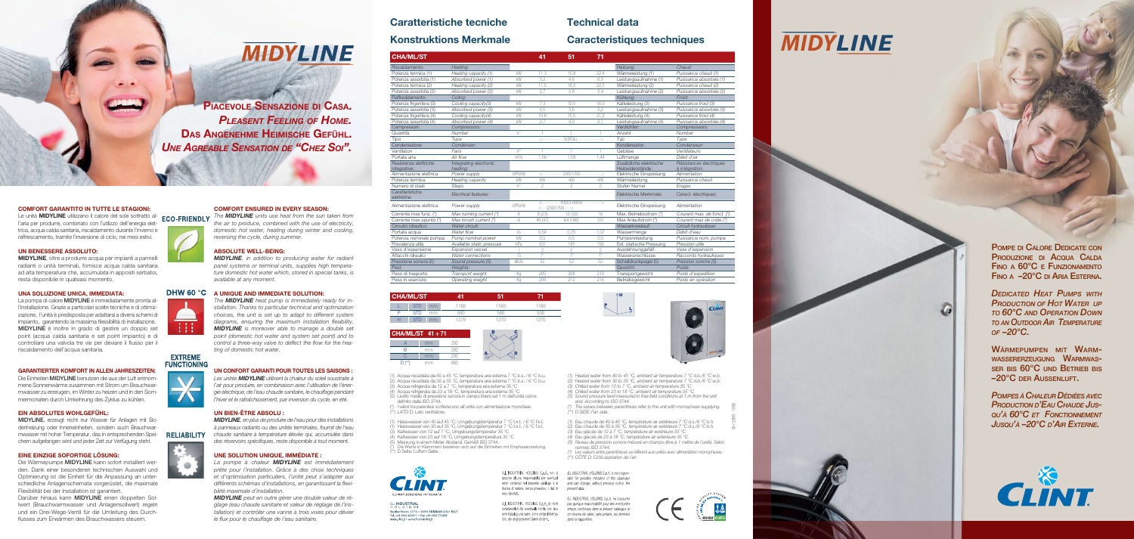## **Caratteristiche tecniche**

### **Konstruktions Merkmale**

| <b>CHA/ML/ST</b> |            |    |      | ь     |     |
|------------------|------------|----|------|-------|-----|
|                  | <b>STD</b> | mm | 160  | 160   | 160 |
|                  | STD        | mm | 500  | 500   |     |
| н                | STD        | mm | 1276 | 127O. |     |



(1) Acqua riscaldata da 40 a 45 °C, temperatura aria esterna 7 °C b.s. / 6 °C b.u.

(2) Acqua riscaldata da 30 a 35 °C, temperatura aria esterna 7 °C b.s. / 6 °C b.u.

# **MIDYLINE**

PIACEVOLE SENSAZIONE DI CASA. **s** *Pleasent Feeling o f Home.* DAS ANGENEHME HEIMISCHE GEFÜHL. **s** *Une Agreable Sensation de "C hez Soi".*

> **DEDICATED HEAT PUMPS WIT** *p* **PRODUCTION OF HOT WATER U** *p to 60° C and O peration Down to an Outdoor Air Temperature of –20° C .*

 $\widehat{G}$ 

WÄRMEPUMPEN MIT WARMwassererzeugung Warm was ser bis 60°C und Betrieb bis -20°C der Aussenluft. for the state of the state of the state of the state of the state of the state of the state of the state of th

| <b>CHA/ML/ST</b>                      |                                    |                            | 41                              | 51                                                  | 71             |                                             |                                           |
|---------------------------------------|------------------------------------|----------------------------|---------------------------------|-----------------------------------------------------|----------------|---------------------------------------------|-------------------------------------------|
| Riscaldamento:                        | Heating:                           |                            |                                 |                                                     |                | Heizung:                                    | Chaud:                                    |
| Potenza termica (1)                   | Heating capacity (1)               | kW                         | 11,3                            | 15.8                                                | 22,4           | Wärmeleistung (1)                           | Puissance chaud (1)                       |
| Potenza assorbita (1)                 | Absorbed power (1)                 | kW                         | 3.2                             | 4.6                                                 | 6.5            | Leistungsaufnahme (1)                       | Puissance absorbée (1)                    |
| Potenza termica (2)                   | Heating capacity (2)               | kW                         | 11.5                            | 16.0                                                | 22.5           | Wärmeleistung (2)                           | Puissance chaud (2)                       |
| Potenza assorbita (2)                 | Absorbed power (2)                 | kW                         | 2,7                             | 3,8                                                 | 5.4            | Leistungsaufnahme (2)                       | Puissance absorbée (2)                    |
| Raffreddamento:                       | Coling:                            |                            |                                 |                                                     |                | Kühlung:                                    | Froid:                                    |
| Potenza frigorifera (3)               | Cooling capacity(3)                | kW                         | 7.3                             | 10.5                                                | 16.0           | Kälteleistung (3)                           | Puissance froid (3)                       |
| Potenza assorbita (3)                 | Absorbed power (3)                 | kW                         | 2,5                             | 3,6                                                 | 5,2            | Leistungsaufnahme (3)                       | Puissance absorbée (3)                    |
| Potenza frigorifera (4)               | Cooling capacity(4)                | kW                         | 10,8                            | 15.5                                                | 21.2           | Kälteleistung (4)                           | Puissance froid (4)                       |
| Potenza assorbita (4)                 | Absorbed power (4)                 | kW                         | 2.7                             | 4.0                                                 | 6.1            | Leistungsaufnahme (4)                       | Puissance absorbée (4)                    |
| Compressori:                          | Compressors:                       |                            |                                 |                                                     |                | Verdichter:                                 | Compresseurs:                             |
| Quantità                              | Number                             | $n^{\circ}$                |                                 |                                                     |                | Anzahl                                      | Number                                    |
| Tipo                                  | Type                               |                            |                                 | <--------SCROLL-------->                            |                | Tvp                                         | Type                                      |
| Condensatore:                         | Condenser:                         |                            |                                 |                                                     |                | Kondensator:                                | Condenseur:                               |
| Ventilatori                           | Fans                               | $n^{\circ}$                |                                 |                                                     |                | Gebläse                                     | Ventilateurs                              |
| Portata aria                          | Air flow                           | $m^3/s$                    | 1.58                            | 1.58                                                | 1.44           | Lüftmenge                                   | Débit d'air                               |
| Resistenze elettriche<br>integrative: | Integrating electronic<br>heating: |                            |                                 |                                                     |                | Zusätzliche elektrische<br>Heizwiderstände: | Résistances électriques<br>à intégration: |
| Alimentazione elettrica               | Power supply                       | V/Ph/Hz                    |                                 | $\leftarrow$ - - - - - - - 230/1/50 - - - - - - - > |                | Elektrische Einspeisung                     | Alimentation                              |
| Potenza termica                       | Heating capacity                   | kW                         | 4/6                             | 4/6                                                 | 4/6            | Wärmeleistung                               | Puissance chaud                           |
| Numero di stadi                       | <b>Steps</b>                       | $n^{\circ}$                | $\overline{c}$                  | $\overline{c}$                                      | $\mathfrak{D}$ | <b>Stufen Numer</b>                         | Erages                                    |
| Caratteristiche<br>elettriche:        | Electrical features:               |                            |                                 |                                                     |                | Elektrische Merkmale:                       | Caract. électriques:                      |
| Alimentazione elettrica               | Power supply                       | V/Ph/Hz                    | $\leftarrow$ - (230/1/50) - - > | $\leftarrow - - - - - 430/3 + N/50 - - - - - - -$   |                | Elektrische Einspeisung                     | Alimentation                              |
| Corrente max funz. (*)                | Max running current (*)            | A                          | 8(23)                           | 12 (32)                                             | 16             | Max. Betriebsstrom (*)                      | Courant max. de fonct. (*)                |
| Corrente max spunto (*)               | Max inrush current (*)             | A                          | 40 (97)                         | 64 (160)                                            | 101            | Max Anlaufstrom (*)                         | Courant max de créte (*)                  |
| Circuito idraulico:                   | Water circuit:                     |                            |                                 |                                                     |                | Wasserkreislauf:                            | Circuit hydraulique:                      |
| Portata acqua                         | Water flow                         | 1/s                        | 0.54                            | 0.75                                                | 1.07           | Wassermenge                                 | Débit d'eau                               |
| Potenza nominale pompa                | Pump nominal power                 | kW                         | 0,5                             | 0.5                                                 | 0,5            | Pumpennleistung                             | Puissance nom. pompe                      |
| Prevalenza utile                      | Available static pressure          | kPa                        | 231                             | 185                                                 | 156            | Ext. statische Pressung                     | Pression utile                            |
| Vaso d'espansione                     | Expansion vessel                   |                            | $\overline{c}$                  | $\overline{c}$                                      | $\overline{c}$ | Ausdehnunggefäß                             | Vase d'expansion                          |
| Attacchi idraulici                    | Water connections                  | $\bigcap_{n\in\mathbb{Z}}$ | 1"                              | 1"                                                  | 1"             | Wasseranschlüsse                            | Raccords hydrauliques                     |
| Pressione sonora (5)                  | Sound pressure (5)                 | dB(A)                      | 52                              | 52                                                  | 52             | Schalldruckpegel (5)                        | Pression sonore (5)                       |
| Pesi:                                 | Weights:                           |                            |                                 |                                                     |                | Gewicht:                                    | Poids:                                    |
| Peso di trasporto                     | Transport weight                   | Кq                         | 205                             | 208                                                 | 210            | Transportgewicht                            | Poids d'expedition                        |
| Peso in esercizio                     | Operating weight                   | Κa                         | 209                             | 212                                                 | 214            | Betriebsgewicht                             | Poids en opération                        |

MIDYLINE, oltre a produrre acqua per impianti a pannelli radianti o unità terminali, fornisce acqua calda sanitaria ad alta temperatura che, accumulata in appositi serbatoi, resta disponibile in qualsiasi momento.

La pompa di calore **MIDYLINE** è immediatamente pronta all'installazione. Grazie a particolari scelte tecniche e di ottimizzazione, l'unità è predisposta per adattarsi a diversi schemi di impianto, garantendo la massima flessibilità di installazione. MIDYLINE è inoltre in grado di gestire un doppio set point (acqua calda sanitaria e set point impianto) e di controllare una valvola tre vie per deviare il flusso per il riscaldamento dell'acqua sanitaria.

Die Einheiten MIDYLINE benutzen die aus der Luft entnommene Sonnenwärme zusammen mit Strom um Brauchwar mwasser zu erzeugen, im Winter zu heizen und in den Som mermonaten durch Umkehrung des Zyklus zu kühlen.

MIDYLINE, erzeugt nicht nur Wasser für Anlagen mit Bodenheizung oder Inneneinheiten, sondern auch Brauchwar mwasser mit hoher Temperatur, das in entsprechenden Spei chern aufgefangen wird und jeder Zeit zur Verfügung steht.

Die Wärmepumpe MIDYLINE kann sofort installiert werden. Dank einer besonderen technischen Auswahl und Optimierung ist die Einheit für die Anpassung an unter schiedliche Anlagenschemata vorgerüstet, die maximale Flexibilität bei der Installation ist garantiert.

Darüber hinaus kann **MIDYLINE** einen doppelten Sollwert (Brauchwarmwasser und Anlagensollwert) regeln und ein Drei-Wege-Ventil für die Umleitung des Durch flusses zum Erwärmen des Brauchwassers steuern.

## **Technical data**

### **Caracteristiques techniques**



POMPE DI CALORE DEDICATE CON l PRODUZIONE DI ACQUA CALDA Fino a 60°C e Funzionamento FINO A -20°C di Aria Esterna.

*Pompes à Chaleur D édiées avec PRODUCTION D'EAU CHAUDE JUSd qu 'à 60° C et Fonctionnement Jusqu 'à –20° C 'Air Externe. d*



#### **COMFORT GARANTITO IN TUTTE LE STAGIONI:**

- (3) Acqua refrigerata da 12 a 7 °C, temperatura aria esterna 35 °C (4) Acqua refrigerata da 23 a 18 °C, temperatura aria esterna 35 °C
- (5) Livello medio di pressione sonora in campo libero ad 1 m dall'unità come definito dalla ISO 3744.
- (\*) I valori tra parentesi si riferiscono all'unità con alimentazione monofase.
- (\*\*) LATO D: Lato ventilatore.
- (1) Heisswasser von 40 auf 45 °C, Umgebungstemperatur 7 °C t.k.t. / 6 °C f.k.t.
- (1) Heisswasser von 30 auf 35 °C, Umgebungstemperatur 7 °C t.k.t. / 6 °C f.k.t. (3) Kaltwasser von 12 auf 7 °C, Umgebungstemperatur 35 °C
- (4) Kaltwasser von 23 auf 18 °C, Umgebungstemperatura 35 °C
- (5) Messung in einem Meter Abstand. Gemäß ISO 3744
- . (\*) Die Werte in Klammern beziehen sich auf die Einheiten mit Einphasensleitung.
- (\*\*) D Seite: Luftern Seite.



**Go Mov Diocini, 11/12 + 22050 PMCNANO (UD) + ITALY** 

Via Max Piccini, 11/13 . 33050 RIVIGNANO (UL<br>Tel. +39 0432 823011 . Fax +39 0432 773855<br>www.clint.it . e-mail: info@clint.it

**INDUSTRIAL** IOLDINGS G.I. INDUSTRIAL HOLDING S.p.A. non si G.I. INDUSTRIAL HOLDING S.p.A. is not responassume alcuna responsabilità per eventuali sible for possible mistakes of this catalogue errori contenuti nel presente catalogo e si and can change, without previous notice, the riserva di variare, senza preavviso, i dati in *present data* esso riportati.

G.I. INDUSTRIAL HOLDING S.p.A. ist nicht pas quelque responsabilité pour des eventuelles verantwortlich für eventuelle Fehler von die- erreurs contenues dans le présent catalogue et sem Katalog und kann, ohne vorige Informa- on réserve de varier, sans préavis, les données tion, die angegebenen Daten ändem.

l'aria per produrre, combinato con l'utilizzo dell'energia elet trica, acqua calda sanitaria, riscaldamento durante l'inverno e raffrescamento, tramite l'inversione di ciclo, nei mesi estivi.

#### **UN BENESSERE ASSOLUTO:**

#### **UNA SOLUZIONE UNICA, IMMEDIATA:**

#### **GARANTIERTER KOMFORT IN ALLEN JAHRESZEITEN:**

Le unità **MIDYLINE** utilizzano il calore del sole sottratto al - *The MIDYLINE units use heat from the sun taken from the air to produce, combined with the use of electricity, domestic hot water, heating during winter and cooling, reversing the cycle, during summer.* 

#### **EIN ABSOLUTES WOHLGEFÜHL:**

#### **EINE EINZIGE SOFORTIGE LÖSUNG:**

#### **COMFORT ENSURED IN EVERY SEASON:**

#### **ABSOLUTE WELL-BEING:**

ŦН

**EXTREME FUNCTIONING** 

 $\mathcal{L}$ 

*MIDYLINE, in addition to producing water for radiant panel systems or terminal units, supplies high tempera ture domestic hot water which, stored in special tanks, is available at any moment.*

#### DHW 60 °C A UNIQUE AND IMMEDIATE SOLUTION:

*The MIDYLINE heat pump is immediately ready for in stallation. Thanks to particular technical and optimization choices, the unit is set up to adapt to different system diagrams, ensuring the maximum installation flexibility. MIDYLINE is moreover able to manage a double set point (domestic hot water and system set point) and to control a three-way valve to deflect the flow for the hea ting of domestic hot water.*

#### **UN CONFORT GARANTI POUR TOUTES LES SAISONS :**

*Les unités MIDYLINE utilisent la chaleur du soleil soustraite à l'air pour produire, en combinaison avec l'utilisation de l'énergie électrique, de l'eau chaude sanitaire, le chauffage pendant l'hiver et le rafraîchissement, par inversion du cycle, en été.* 

#### **UN BIEN-ÊTRE ABSOLU :**

*MIDYLINE, en plus de produire de l'eau pour des installations à panneaux radiants ou des unités terminales, fournit de l'eau chaude sanitaire à température élevée qui, accumulée dans des réservoirs spécifiques, reste disponible à tout moment.*

#### **UNE SOLUTION UNIQUE, IMMÉDIATE :**

*La pompe à chaleur MIDYLINE est immédiatement prête pour l'installation. Grâce à des choix techniques et d'optimisation particuliers, l'unité peut s'adapter aux différents schémas d'installations, en garantissant la flexi bilité maximale d'installation.* 

*MIDYLINE peut en outre gérer une double valeur de ré glage (eau chaude sanitaire et valeur de réglage de l'ins tallation) et contrôler une vanne à trois voies pour dévier le flux pour le chauffage de l'eau sanitaire.*

*(1) Heated water from 40 to 45 °C, ambient air temperature 7 °C d.b./6 °C w.b. (2) Heated water from 30 to 35 °C, ambient air temperature 7 °C d.b./6 °C w.b. (3) Chilled water from 12 to 7 °C, ambient air temperature 35 °C.*

*(4) Chilled water from 23 to 18 °C, ambient air temperature 35 °C. (5) Sound pressure level measured in free field conditions at 1 m from the unit and. According to ISO 3744.*

*(\*) The values between parenthesis refer to the unit with monophase supplying. (\*\*) D SIDE: Fan side.*

*(1) Eau chaude de 40 à 45 °C, température air extérieure 7 °C d.s./6 °C b.h.*

*(2) Eau chaude de 30 à 35 °C, température air extérieure 7 °C d.s./6 °C b.h. (3) Eau glacée de 12 à 7 °C, température air extérieure 35 °C. (4) Eau glacée de 23 à 18 °C, température air extérieure 35 °C. (5) Niveau de pression sonore mèsuré en champs libre à 1 métre de l'unité. Selon* 

*normes ISO 3744. (\*) Les valeurs entre parenthèses se réfèrent aux unités avec alimentation monophases.*

*(\*\*) CÔTÉ D: Côté aspiration de l'air.*

G.I. INDUSTRIAL HOLDING S.p.A. ne s'assume dans lui rapportées



05 / 2009 - 1000